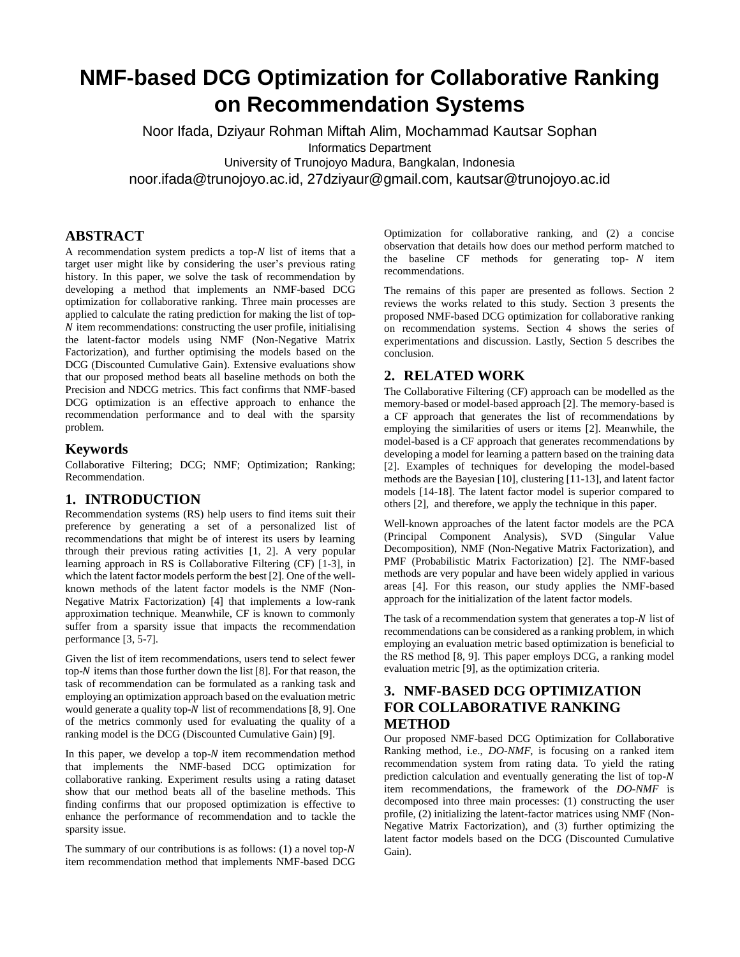# **NMF-based DCG Optimization for Collaborative Ranking on Recommendation Systems**

Noor Ifada, Dziyaur Rohman Miftah Alim, Mochammad Kautsar Sophan

Informatics Department

University of Trunojoyo Madura, Bangkalan, Indonesia

noor.ifada@trunojoyo.ac.id, 27dziyaur@gmail.com, kautsar@trunojoyo.ac.id

## **ABSTRACT**

A recommendation system predicts a top- $N$  list of items that a target user might like by considering the user's previous rating history. In this paper, we solve the task of recommendation by developing a method that implements an NMF-based DCG optimization for collaborative ranking. Three main processes are applied to calculate the rating prediction for making the list of top-  $\tilde{N}$  item recommendations: constructing the user profile, initialising the latent-factor models using NMF (Non-Negative Matrix Factorization), and further optimising the models based on the DCG (Discounted Cumulative Gain). Extensive evaluations show that our proposed method beats all baseline methods on both the Precision and NDCG metrics. This fact confirms that NMF-based DCG optimization is an effective approach to enhance the recommendation performance and to deal with the sparsity problem.

### **Keywords**

Collaborative Filtering; DCG; NMF; Optimization; Ranking; Recommendation.

# **1. INTRODUCTION**

Recommendation systems (RS) help users to find items suit their preference by generating a set of a personalized list of recommendations that might be of interest its users by learning through their previous rating activities [\[1,](#page-3-0) [2\]](#page-3-1). A very popular learning approach in RS is Collaborative Filtering (CF) [\[1-3\]](#page-3-0), in which the latent factor models perform the best [\[2\]](#page-3-1). One of the wellknown methods of the latent factor models is the NMF (Non-Negative Matrix Factorization) [\[4\]](#page-3-2) that implements a low-rank approximation technique. Meanwhile, CF is known to commonly suffer from a sparsity issue that impacts the recommendation performance [\[3,](#page-3-3) [5-7\]](#page-3-4).

Given the list of item recommendations, users tend to select fewer top- $N$  items than those further down the list [\[8\]](#page-3-5). For that reason, the task of recommendation can be formulated as a ranking task and employing an optimization approach based on the evaluation metric would generate a quality top- $N$  list of recommendations [\[8,](#page-3-5) [9\]](#page-3-6). One of the metrics commonly used for evaluating the quality of a ranking model is the DCG (Discounted Cumulative Gain) [\[9\]](#page-3-6).

In this paper, we develop a top- $N$  item recommendation method that implements the NMF-based DCG optimization for collaborative ranking. Experiment results using a rating dataset show that our method beats all of the baseline methods. This finding confirms that our proposed optimization is effective to enhance the performance of recommendation and to tackle the sparsity issue.

The summary of our contributions is as follows: (1) a novel top- $N$ item recommendation method that implements NMF-based DCG Optimization for collaborative ranking, and (2) a concise observation that details how does our method perform matched to the baseline  $CF$  methods for generating top-  $N$  item recommendations.

The remains of this paper are presented as follows. Section 2 reviews the works related to this study. Section 3 presents the proposed NMF-based DCG optimization for collaborative ranking on recommendation systems. Section 4 shows the series of experimentations and discussion. Lastly, Section 5 describes the conclusion.

# **2. RELATED WORK**

The Collaborative Filtering (CF) approach can be modelled as the memory-based or model-based approach [2]. The memory-based is a CF approach that generates the list of recommendations by employing the similarities of users or items [\[2\]](#page-3-1). Meanwhile, the model-based is a CF approach that generates recommendations by developing a model for learning a pattern based on the training data [\[2\]](#page-3-1). Examples of techniques for developing the model-based methods are the Bayesian [\[10\]](#page-3-7), clustering [\[11-13\]](#page-3-8), and latent factor models [\[14-18\]](#page-3-9). The latent factor model is superior compared to others [\[2\]](#page-3-1), and therefore, we apply the technique in this paper.

Well-known approaches of the latent factor models are the PCA (Principal Component Analysis), SVD (Singular Value Decomposition), NMF (Non-Negative Matrix Factorization), and PMF (Probabilistic Matrix Factorization) [\[2\]](#page-3-1). The NMF-based methods are very popular and have been widely applied in various areas [\[4\]](#page-3-2). For this reason, our study applies the NMF-based approach for the initialization of the latent factor models.

The task of a recommendation system that generates a top- $N$  list of recommendations can be considered as a ranking problem, in which employing an evaluation metric based optimization is beneficial to the RS method [\[8,](#page-3-5) [9\]](#page-3-6). This paper employs DCG, a ranking model evaluation metric [\[9\]](#page-3-6), as the optimization criteria.

# **3. NMF-BASED DCG OPTIMIZATION FOR COLLABORATIVE RANKING METHOD**

Our proposed NMF-based DCG Optimization for Collaborative Ranking method, i.e., *DO-NMF*, is focusing on a ranked item recommendation system from rating data. To yield the rating prediction calculation and eventually generating the list of top- $N$ item recommendations, the framework of the *DO-NMF* is decomposed into three main processes: (1) constructing the user profile, (2) initializing the latent-factor matrices using NMF (Non-Negative Matrix Factorization), and (3) further optimizing the latent factor models based on the DCG (Discounted Cumulative Gain).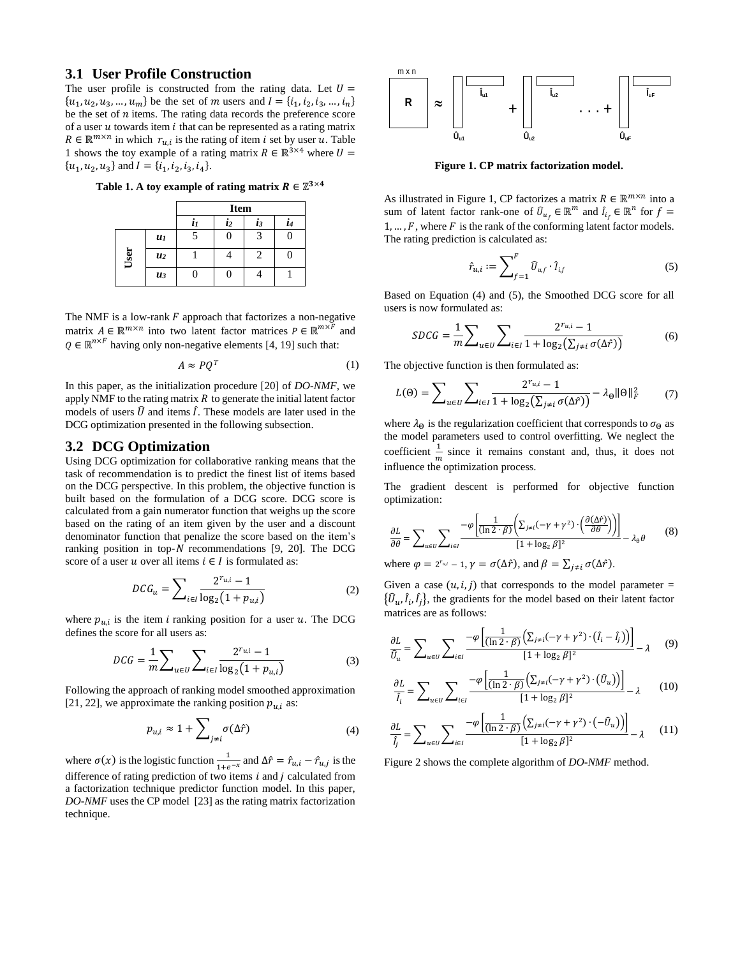#### **3.1 User Profile Construction**

The user profile is constructed from the rating data. Let  $U =$  $\{u_1, u_2, u_3, ..., u_m\}$  be the set of *m* users and  $I = \{i_1, i_2, i_3, ..., i_n\}$ be the set of  $n$  items. The rating data records the preference score of a user  $u$  towards item  $i$  that can be represented as a rating matrix  $R \in \mathbb{R}^{m \times n}$  in which  $r_{u,i}$  is the rating of item *i* set by user *u*. Table [1](#page-1-0) shows the toy example of a rating matrix  $R \in \mathbb{R}^{3 \times 4}$  where  $U =$  $\{u_1, u_2, u_3\}$  and  $I = \{i_1, i_2, i_3, i_4\}.$ 

<span id="page-1-0"></span>Table 1. A toy example of rating matrix  $R \in \mathbb{Z}^{3 \times 4}$ 

|      |                    | <b>Item</b> |                    |    |    |
|------|--------------------|-------------|--------------------|----|----|
|      |                    | Ů           | $\boldsymbol{i_2}$ | iз | i4 |
| User | $\boldsymbol{u}$   |             | 0                  |    |    |
|      | $\boldsymbol{u}_2$ |             |                    |    |    |
|      | $\mathfrak{u}_3$   |             | U                  |    |    |

The NMF is a low-rank  $F$  approach that factorizes a non-negative matrix  $A \in \mathbb{R}^{m \times n}$  into two latent factor matrices  $P \in \mathbb{R}^{m \times F}$  and  $Q \in \mathbb{R}^{n \times F}$  having only non-negative elements [\[4,](#page-3-2) [19\]](#page-4-0) such that:

$$
A \approx PQ^T \tag{1}
$$

In this paper, as the initialization procedure [\[20\]](#page-4-1) of *DO-NMF*, we apply NMF to the rating matrix  $R$  to generate the initial latent factor models of users  $\hat{U}$  and items  $\hat{I}$ . These models are later used in the DCG optimization presented in the following subsection.

#### **3.2 DCG Optimization**

Using DCG optimization for collaborative ranking means that the task of recommendation is to predict the finest list of items based on the DCG perspective. In this problem, the objective function is built based on the formulation of a DCG score. DCG score is calculated from a gain numerator function that weighs up the score based on the rating of an item given by the user and a discount denominator function that penalize the score based on the item's ranking position in top- $N$  recommendations [\[9,](#page-3-6) [20\]](#page-4-1). The DCG score of a user u over all items  $i \in I$  is formulated as:

$$
DCG_u = \sum_{i \in I} \frac{2^{r_{u,i}} - 1}{\log_2(1 + p_{u,i})}
$$
 (2)

where  $p_{u,i}$  is the item *i* ranking position for a user  $u$ . The DCG defines the score for all users as:

$$
DCG = \frac{1}{m} \sum_{u \in U} \sum_{i \in I} \frac{2^{r_{u,i}} - 1}{\log_2(1 + p_{u,i})}
$$
(3)

Following the approach of ranking model smoothed approximation [\[21,](#page-4-2) [22\]](#page-4-3), we approximate the ranking position  $p_{u,i}$  as:

$$
p_{u,i} \approx 1 + \sum_{j \neq i} \sigma(\Delta \hat{r}) \tag{4}
$$

where  $\sigma(x)$  is the logistic function  $\frac{1}{1+e^{-x}}$  and  $\Delta \hat{r} = \hat{r}_{u,i} - \hat{r}_{u,j}$  is the difference of rating prediction of two items  $i$  and  $j$  calculated from a factorization technique predictor function model. In this paper, *DO-NMF* uses the CP model [\[23\]](#page-4-4) as the rating matrix factorization technique.



**Figure 1. CP matrix factorization model.**

<span id="page-1-1"></span>As illustrated in [Figure 1,](#page-1-1) CP factorizes a matrix  $R \in \mathbb{R}^{m \times n}$  into a sum of latent factor rank-one of  $\widehat{U}_{u_f} \in \mathbb{R}^m$  and  $\widehat{I}_{i_f} \in \mathbb{R}^n$  for  $f =$  $1, \ldots, F$ , where  $F$  is the rank of the conforming latent factor models. The rating prediction is calculated as:

$$
\hat{r}_{u,i} := \sum_{f=1}^{F} \hat{U}_{u,f} \cdot \hat{l}_{i,f}
$$
\n(5)

Based on Equation (4) and (5), the Smoothed DCG score for all users is now formulated as:

$$
SDCG = \frac{1}{m} \sum_{u \in U} \sum_{i \in I} \frac{2^{r_{u,i}} - 1}{1 + \log_2(\sum_{j \neq i} \sigma(\Delta f))}
$$
(6)

The objective function is then formulated as:

$$
L(\Theta) = \sum_{u \in U} \sum_{i \in I} \frac{2^{r_{u,i}} - 1}{1 + \log_2(\sum_{j \neq i} \sigma(\Delta \hat{r}))} - \lambda_{\Theta} ||\Theta||_F^2 \tag{7}
$$

where  $\lambda_{\Theta}$  is the regularization coefficient that corresponds to  $\sigma_{\Theta}$  as the model parameters used to control overfitting. We neglect the coefficient  $\frac{1}{m}$  since it remains constant and, thus, it does not influence the optimization process.

The gradient descent is performed for objective function optimization:

$$
\frac{\partial L}{\partial \theta} = \sum_{u \in U} \sum_{i \in I} \frac{-\varphi \left[ \frac{1}{(\ln 2 \cdot \beta)} \left( \sum_{j \neq i} (-\gamma + \gamma^2) \cdot \left( \frac{\partial (\Delta \hat{r})}{\partial \theta} \right) \right) \right]}{[1 + \log_2 \beta]^2} - \lambda_{\theta} \theta
$$
(8)

where  $\varphi = 2^{r_{u,i}} - 1$ ,  $\gamma = \sigma(\Delta \hat{r})$ , and  $\beta = \sum_{j \neq i} \sigma(\Delta \hat{r})$ .

Given a case  $(u, i, j)$  that corresponds to the model parameter =  $\{\hat{U}_u, \hat{I}_i, \hat{I}_j\}$ , the gradients for the model based on their latent factor matrices are as follows:

$$
\frac{\partial L}{\partial u} = \sum_{u \in U} \sum_{i \in I} \frac{-\varphi \left[ \frac{1}{(\ln 2 \cdot \beta)} \left( \sum_{j \neq i} (-\gamma + \gamma^2) \cdot (\hat{I}_i - \hat{I}_j) \right) \right]}{[1 + \log_2 \beta]^2} - \lambda \tag{9}
$$

$$
\frac{\partial L}{\hat{I}_i} = \sum_{u \in U} \sum_{i \in I} \frac{-\varphi \left[ \frac{1}{(\ln 2 \cdot \beta)} \left( \sum_{j \neq i} (-\gamma + \gamma^2) \cdot (\hat{U}_u) \right) \right]}{[1 + \log_2 \beta]^2} - \lambda \tag{10}
$$

$$
\frac{\partial L}{\hat{I}_j} = \sum_{u \in U} \sum_{i \in I} \frac{-\varphi \left[ \frac{1}{(\ln 2 \cdot \beta)} \left( \sum_{j \neq i} (-\gamma + \gamma^2) \cdot (-\hat{U}_u) \right) \right]}{[1 + \log_2 \beta]^2} - \lambda \tag{11}
$$

[Figure 2](#page-2-0) shows the complete algorithm of *DO-NMF* method.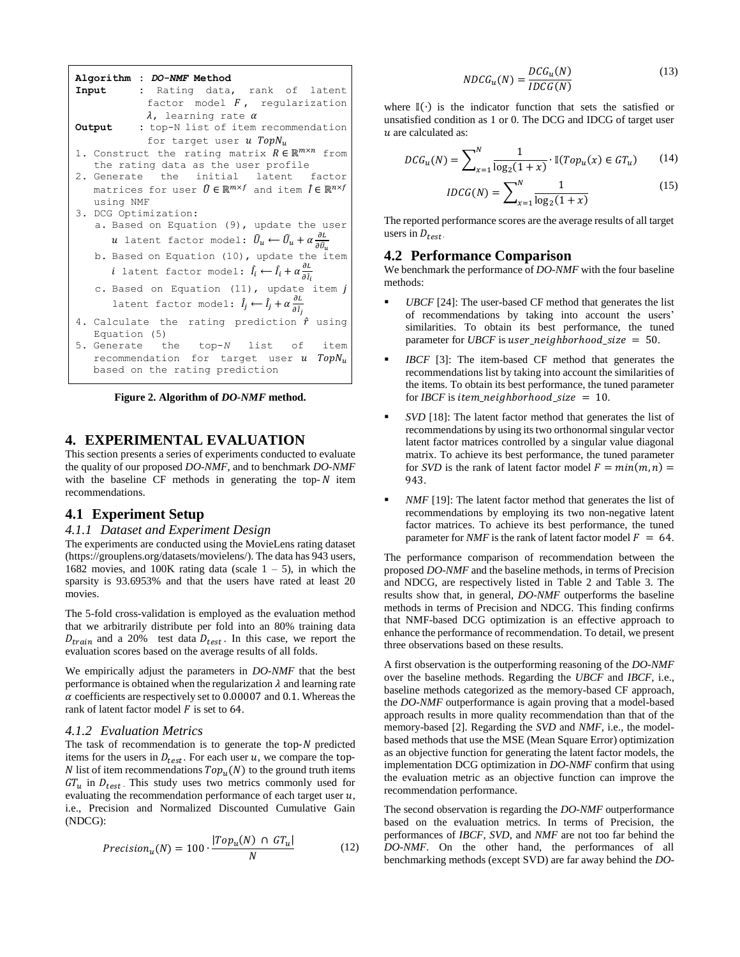

**Figure 2. Algorithm of** *DO-NMF* **method.**

#### <span id="page-2-0"></span>**4. EXPERIMENTAL EVALUATION**

This section presents a series of experiments conducted to evaluate the quality of our proposed *DO-NMF*, and to benchmark *DO-NMF* with the baseline CF methods in generating the top- $N$  item recommendations.

#### **4.1 Experiment Setup**

#### *4.1.1 Dataset and Experiment Design*

The experiments are conducted using the MovieLens rating dataset [\(https://grouplens.org/datasets/movielens/\)](https://grouplens.org/datasets/movielens/). The data has 943 users, 1682 movies, and 100K rating data (scale  $1 - 5$ ), in which the sparsity is 93.6953% and that the users have rated at least 20 movies.

The 5-fold cross-validation is employed as the evaluation method that we arbitrarily distribute per fold into an 80% training data  $D_{train}$  and a 20% test data  $D_{test}$ . In this case, we report the evaluation scores based on the average results of all folds.

We empirically adjust the parameters in *DO-NMF* that the best performance is obtained when the regularization  $\lambda$  and learning rate  $\alpha$  coefficients are respectively set to 0.00007 and 0.1. Whereas the rank of latent factor model  $F$  is set to 64.

#### *4.1.2 Evaluation Metrics*

The task of recommendation is to generate the top- $N$  predicted items for the users in  $D_{test}$ . For each user u, we compare the top-N list of item recommendations  $Top_u(N)$  to the ground truth items  $GT_u$  in  $D_{test}$ . This study uses two metrics commonly used for evaluating the recommendation performance of each target user  $u$ , i.e., Precision and Normalized Discounted Cumulative Gain (NDCG):

$$
Precision_u(N) = 100 \cdot \frac{|Top_u(N) \cap GT_u|}{N}
$$
 (12)

$$
NDCG_u(N) = \frac{DCG_u(N)}{IDCG(N)}\tag{13}
$$

where I(⋅) is the indicator function that sets the satisfied or unsatisfied condition as 1 or 0. The DCG and IDCG of target user  $u$  are calculated as:

$$
DCG_u(N) = \sum_{x=1}^{N} \frac{1}{\log_2(1+x)} \cdot \mathbb{I}(Top_u(x) \in GT_u) \tag{14}
$$

$$
IDCG(N) = \sum_{x=1}^{N} \frac{1}{\log_2(1+x)}
$$
(15)

The reported performance scores are the average results of all target users in  $D_{test}$ .

#### **4.2 Performance Comparison**

We benchmark the performance of *DO-NMF* with the four baseline methods:

- *UBCF* [\[24\]](#page-4-5): The user-based CF method that generates the list of recommendations by taking into account the users' similarities. To obtain its best performance, the tuned parameter for *UBCF* is user\_neighborhood\_size = 50.
- *IBCF* [\[3\]](#page-3-3): The item-based CF method that generates the recommendations list by taking into account the similarities of the items. To obtain its best performance, the tuned parameter for *IBCF* is *item\_neighborhood\_size* = 10.
- *SVD* [\[18\]](#page-4-6): The latent factor method that generates the list of recommendations by using its two orthonormal singular vector latent factor matrices controlled by a singular value diagonal matrix. To achieve its best performance, the tuned parameter for *SVD* is the rank of latent factor model  $F = min(m, n) =$ 943.
- *NMF* [\[19\]](#page-4-0): The latent factor method that generates the list of recommendations by employing its two non-negative latent factor matrices. To achieve its best performance, the tuned parameter for *NMF* is the rank of latent factor model  $F = 64$ .

The performance comparison of recommendation between the proposed *DO-NMF* and the baseline methods, in terms of Precision and NDCG, are respectively listed in [Table 2](#page-3-10) and [Table 3.](#page-3-11) The results show that, in general, *DO-NMF* outperforms the baseline methods in terms of Precision and NDCG. This finding confirms that NMF-based DCG optimization is an effective approach to enhance the performance of recommendation. To detail, we present three observations based on these results.

A first observation is the outperforming reasoning of the *DO-NMF* over the baseline methods. Regarding the *UBCF* and *IBCF*, i.e., baseline methods categorized as the memory-based CF approach, the *DO-NMF* outperformance is again proving that a model-based approach results in more quality recommendation than that of the memory-based [2]. Regarding the *SVD* and *NMF*, i.e., the modelbased methods that use the MSE (Mean Square Error) optimization as an objective function for generating the latent factor models, the implementation DCG optimization in *DO-NMF* confirm that using the evaluation metric as an objective function can improve the recommendation performance.

The second observation is regarding the *DO-NMF* outperformance based on the evaluation metrics. In terms of Precision, the performances of *IBCF*, *SVD*, and *NMF* are not too far behind the *DO-NMF*. On the other hand, the performances of all benchmarking methods (except SVD) are far away behind the *DO-*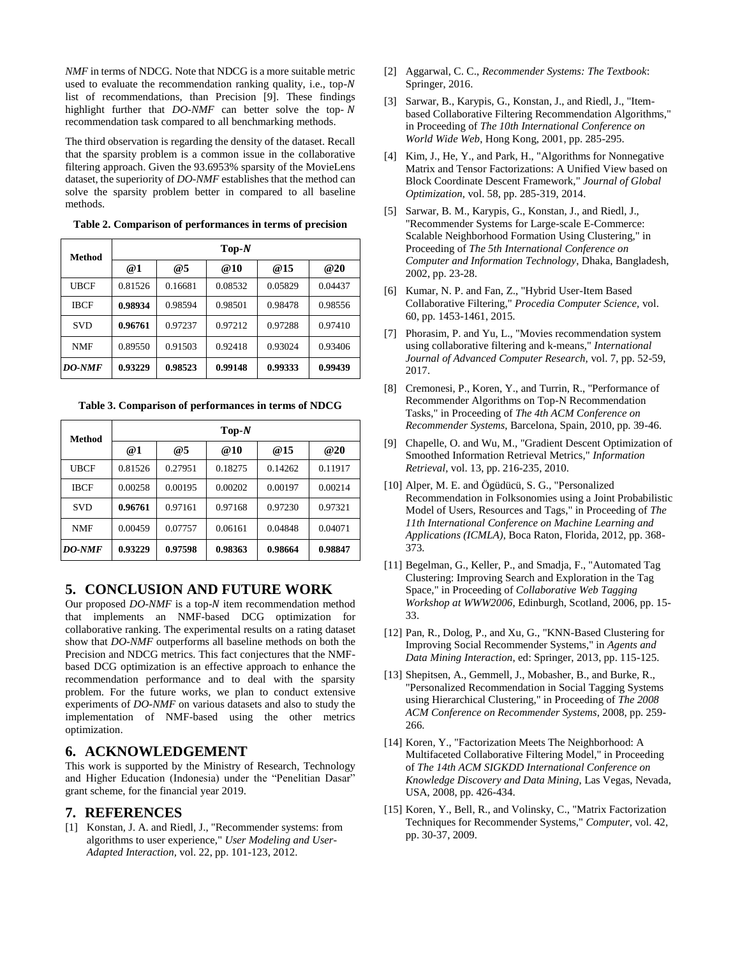*NMF* in terms of NDCG. Note that NDCG is a more suitable metric used to evaluate the recommendation ranking quality, i.e., top-N list of recommendations, than Precision [9]. These findings highlight further that *DO-NMF* can better solve the top-N recommendation task compared to all benchmarking methods.

The third observation is regarding the density of the dataset. Recall that the sparsity problem is a common issue in the collaborative filtering approach. Given the 93.6953% sparsity of the MovieLens dataset, the superiority of *DO-NMF* establishes that the method can solve the sparsity problem better in compared to all baseline methods.

| Method      | $Top-N$ |         |         |         |         |  |
|-------------|---------|---------|---------|---------|---------|--|
|             | @1      | @5      | @10     | @15     | @20     |  |
| UBCF        | 0.81526 | 0.16681 | 0.08532 | 0.05829 | 0.04437 |  |
| <b>IBCF</b> | 0.98934 | 0.98594 | 0.98501 | 0.98478 | 0.98556 |  |
| <b>SVD</b>  | 0.96761 | 0.97237 | 0.97212 | 0.97288 | 0.97410 |  |
| <b>NMF</b>  | 0.89550 | 0.91503 | 0.92418 | 0.93024 | 0.93406 |  |
| DO-NMF      | 0.93229 | 0.98523 | 0.99148 | 0.99333 | 0.99439 |  |

<span id="page-3-10"></span>**Table 2. Comparison of performances in terms of precision**

<span id="page-3-11"></span>**Table 3. Comparison of performances in terms of NDCG**

| Method        | $Top-N$ |         |         |         |         |  |
|---------------|---------|---------|---------|---------|---------|--|
|               | @1      | @5      | @10     | @15     | @20     |  |
| UBCF          | 0.81526 | 0.27951 | 0.18275 | 0.14262 | 0.11917 |  |
| <b>IBCF</b>   | 0.00258 | 0.00195 | 0.00202 | 0.00197 | 0.00214 |  |
| <b>SVD</b>    | 0.96761 | 0.97161 | 0.97168 | 0.97230 | 0.97321 |  |
| <b>NMF</b>    | 0.00459 | 0.07757 | 0.06161 | 0.04848 | 0.04071 |  |
| <b>DO-NMF</b> | 0.93229 | 0.97598 | 0.98363 | 0.98664 | 0.98847 |  |

# **5. CONCLUSION AND FUTURE WORK**

Our proposed *DO-NMF* is a top-*N* item recommendation method that implements an NMF-based DCG optimization for collaborative ranking. The experimental results on a rating dataset show that *DO-NMF* outperforms all baseline methods on both the Precision and NDCG metrics. This fact conjectures that the NMFbased DCG optimization is an effective approach to enhance the recommendation performance and to deal with the sparsity problem. For the future works, we plan to conduct extensive experiments of *DO-NMF* on various datasets and also to study the implementation of NMF-based using the other metrics optimization.

# **6. ACKNOWLEDGEMENT**

This work is supported by the Ministry of Research, Technology and Higher Education (Indonesia) under the "Penelitian Dasar" grant scheme, for the financial year 2019.

# **7. REFERENCES**

<span id="page-3-0"></span>[1] Konstan, J. A. and Riedl, J., "Recommender systems: from algorithms to user experience," *User Modeling and User-Adapted Interaction,* vol. 22, pp. 101-123, 2012.

- <span id="page-3-1"></span>[2] Aggarwal, C. C., *Recommender Systems: The Textbook*: Springer, 2016.
- <span id="page-3-3"></span>[3] Sarwar, B., Karypis, G., Konstan, J., and Riedl, J., "Itembased Collaborative Filtering Recommendation Algorithms," in Proceeding of *The 10th International Conference on World Wide Web*, Hong Kong, 2001, pp. 285-295.
- <span id="page-3-2"></span>[4] Kim, J., He, Y., and Park, H., "Algorithms for Nonnegative Matrix and Tensor Factorizations: A Unified View based on Block Coordinate Descent Framework," *Journal of Global Optimization,* vol. 58, pp. 285-319, 2014.
- <span id="page-3-4"></span>[5] Sarwar, B. M., Karypis, G., Konstan, J., and Riedl, J., "Recommender Systems for Large-scale E-Commerce: Scalable Neighborhood Formation Using Clustering," in Proceeding of *The 5th International Conference on Computer and Information Technology*, Dhaka, Bangladesh, 2002, pp. 23-28.
- [6] Kumar, N. P. and Fan, Z., "Hybrid User-Item Based Collaborative Filtering," *Procedia Computer Science,* vol. 60, pp. 1453-1461, 2015.
- [7] Phorasim, P. and Yu, L., "Movies recommendation system using collaborative filtering and k-means," *International Journal of Advanced Computer Research,* vol. 7, pp. 52-59, 2017.
- <span id="page-3-5"></span>[8] Cremonesi, P., Koren, Y., and Turrin, R., "Performance of Recommender Algorithms on Top-N Recommendation Tasks," in Proceeding of *The 4th ACM Conference on Recommender Systems*, Barcelona, Spain, 2010, pp. 39-46.
- <span id="page-3-6"></span>[9] Chapelle, O. and Wu, M., "Gradient Descent Optimization of Smoothed Information Retrieval Metrics," *Information Retrieval,* vol. 13, pp. 216-235, 2010.
- <span id="page-3-7"></span>[10] Alper, M. E. and Ögüdücü, S. G., "Personalized Recommendation in Folksonomies using a Joint Probabilistic Model of Users, Resources and Tags," in Proceeding of *The 11th International Conference on Machine Learning and Applications (ICMLA)*, Boca Raton, Florida, 2012, pp. 368- 373.
- <span id="page-3-8"></span>[11] Begelman, G., Keller, P., and Smadja, F., "Automated Tag Clustering: Improving Search and Exploration in the Tag Space," in Proceeding of *Collaborative Web Tagging Workshop at WWW2006*, Edinburgh, Scotland, 2006, pp. 15- 33.
- [12] Pan, R., Dolog, P., and Xu, G., "KNN-Based Clustering for Improving Social Recommender Systems," in *Agents and Data Mining Interaction*, ed: Springer, 2013, pp. 115-125.
- [13] Shepitsen, A., Gemmell, J., Mobasher, B., and Burke, R., "Personalized Recommendation in Social Tagging Systems using Hierarchical Clustering," in Proceeding of *The 2008 ACM Conference on Recommender Systems*, 2008, pp. 259- 266.
- <span id="page-3-9"></span>[14] Koren, Y., "Factorization Meets The Neighborhood: A Multifaceted Collaborative Filtering Model," in Proceeding of *The 14th ACM SIGKDD International Conference on Knowledge Discovery and Data Mining*, Las Vegas, Nevada, USA, 2008, pp. 426-434.
- [15] Koren, Y., Bell, R., and Volinsky, C., "Matrix Factorization Techniques for Recommender Systems," *Computer,* vol. 42, pp. 30-37, 2009.